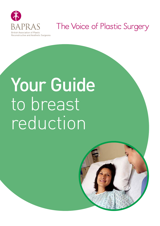

# The Voice of Plastic Surgery

# Your Guide to breast reduction

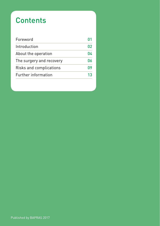# **Contents**

| Foreword                 |    |
|--------------------------|----|
| Introduction             | በን |
| About the operation      | በፈ |
| The surgery and recovery | በለ |
| Risks and complications  | በዓ |
| Further information      | 13 |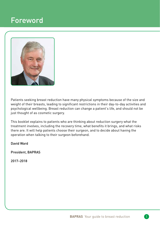### Foreword



Patients seeking breast reduction have many physical symptoms because of the size and weight of their breasts, leading to significant restrictions in their day-to-day activities and psychological wellbeing. Breast reduction can change a patient's life, and should not be just thought of as cosmetic surgery.

This booklet explains to patients who are thinking about reduction surgery what the treatment involves, including the recovery time, what benefits it brings, and what risks there are. It will help patients choose their surgeon, and to decide about having the operation when talking to their surgeon beforehand.

David Ward

President, BAPRAS

2017–2018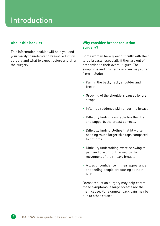## Introduction

#### **About this booklet**

This information booklet will help you and your family to understand breast reduction surgery and what to expect before and after the surgery.

#### **Why consider breast reduction surgery?**

Some women have great difficulty with their large breasts, especially if they are out of proportion to their overall figure. The symptoms and problems women may suffer from include:

- ‣ Pain in the back, neck, shoulder and breast
- ‣ Grooving of the shoulders caused by bra straps
- ‣ Inflamed reddened skin under the breast
- $\cdot$  Difficulty finding a suitable bra that fits and supports the breast correctly
- $\cdot$  Difficulty finding clothes that fit often needing much larger size tops compared to bottoms
- ‣ Difficulty undertaking exercise owing to pain and discomfort caused by the movement of their heavy breasts
- ‣ A loss of confidence in their appearance and feeling people are staring at their bust.

Breast reduction surgery may help control these symptoms, if large breasts are the main cause. For example, back pain may be due to other causes.

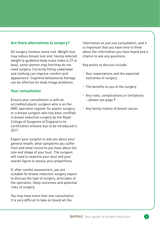#### **Are there alternatives to surgery?**

All surgery involves some risk. Weight loss may reduce breast size and, having reduced weight (a guideline body mass index is 27 or less), some women may find they do not need surgery. Correctly fitting underwear and clothing can improve comfort and appearance. Cognitive behavioural therapy can be effective for body image problems.

#### **Your consultation**

Ensure your consultation is with an accredited plastic surgeon who is on the GMC specialist register for plastic surgery, or a breast surgeon who has been certified in breast reduction surgery by the Royal College of Surgeons of England in its certification scheme due to be introduced in 2017.

Expect your surgeon to ask you about your general health, what symptoms you suffer from and what concerns you have about the size and shape of your bust. The surgeon will need to examine your bust and your overall figure to assess your proportions.

If, after careful assessment, you are suitable for breast reduction surgery expect to discuss the type of surgery, principles of the operation, likely outcomes and potential risks of surgery.

You may have more than one consultation. It is very difficult to take on board all the

information at just one consultation, and it is important that you have time to think about the information you have heard and a chance to ask any questions.

Key points to discuss include:

- ‣ Your expectations and the expected outcomes of surgery
- ‣ The benefits to you of the surgery
- ‣ Any risks, complications or limitations – please see page 9
- ‣ Any family history of breast cancer.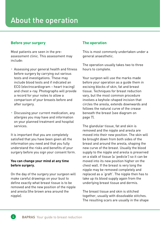## About the operation

#### **Before your surgery**

Most patients are seen in the preassessment clinic. This assessment may include:

- ‣ Assessing your general health and fitness before surgery by carrying out various tests and investigations. These may include blood tests and if indicated an ECG (electrocardiogram – heart tracing) and chest x-ray. Photographs will provide a record for your notes to allow a comparison of your breasts before and after surgery.
- ‣ Discussing your current medication, any allergies you may have and information on your planned treatment and hospital services.

It is important that you are completely satisfied that you have been given all the information you need and that you fully understand the risks and benefits of your surgery before you sign your consent form.

#### **You can change your mind at any time before surgery.**

On the day of the surgery your surgeon will make careful drawings on your bust to define exactly what breast tissue is to be removed and the new position of the nipple and areola (the brown area around the nipple).

#### **The operation**

This is most commonly undertaken under a general anaesthetic.

The operation usually takes two to three hours to complete.

Your surgeon will use the marks made before your operation as a guide them in excising blocks of skin, fat and breast tissue. Techniques for breast reduction vary, but the most common procedure involves a keyhole-shaped incision that circles the areola, extends downwards and follows the natural curve of the crease beneath the breast (see diagram on page 7).

The glandular tissue, fat and skin is removed and the nipple and areola are moved into their new position. The skin will be brought down from both sides of the breast and around the areola, shaping the new curve of the breast. Usually the blood supply to the nipple and areola is preserved on a stalk of tissue (a 'pedicle') so it can be moved into its new position higher on the chest wall. If the breast is very long the nipple may be removed completely and replaced as a 'graft'. The nipple then has to take up its blood supply again from the underlying breast tissue and dermis.

The breast tissue and skin is stitched together, usually with dissolvable stitches. The resulting scars are usually in the shape

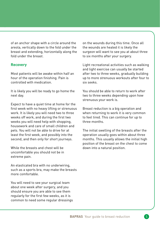of an anchor shape with a circle around the areola, vertically down to the fold under the breast and extending, horizontally along the fold under the breast.

#### **Recovery**

Most patients will be awake within half an hour of the operation finishing. Pain is controlled with medication.

It is likely you will be ready to go home the next day.

Expect to have a quiet time at home for the first week with no heavy lifting or strenuous work. It is likely you will need two to three weeks off work, and during the first two weeks you will need help with shopping, housework and care of small children and pets. You will not be able to drive for at least the first week, and possibly into the second, and then only for short journeys.

While the breasts and chest will be uncomfortable you should not be in extreme pain.

An elasticated bra with no underwiring, such as a sports bra, may make the breasts more comfortable.

You will need to see your surgical team about one week after surgery, and you should ensure you are able to see them regularly for the first few weeks, as it is common to need some regular dressings on the wounds during this time. Once all the wounds are healed it is likely the surgeon will want to see you at about three to six months after your surgery.

Light recreational activities such as walking and light exercise can usually be started after two to three weeks, gradually building up to more strenuous workouts after four to six seeks.

You should be able to return to work after two to three weeks depending upon how strenuous your work is.

Breast reduction is a big operation and when returning to work it is very common to feel tired. This can continue for up to three months.

The initial swelling of the breasts after the operation usually goes within about three months. This usually allows the initial high position of the breast on the chest to come down into a natural position.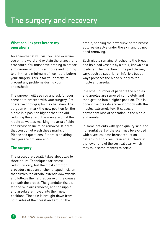#### **What can I expect before my operation?**

An anaesthetist will visit you and examine you on the ward and explain the anaesthetic procedure. You must have nothing to eat for a minimum of four to six hours and nothing to drink for a minimum of two hours before your surgery. This is for your safety, to prevent any problems during your anaesthetic.

The surgeon will see you and ask for your consent to proceed with your surgery. Preoperative photographs may be taken. The surgeon will mark the new position for the nipple in a position higher than the old, reducing the size of the areola around the nipple as well as marking the area of skin and breast tissue to be removed. It is vital that you do not wash these marks off. Please ask questions if there is anything that you are not sure about.

#### **The surgery**

The procedure usually takes about two to three hours. Techniques for breast reduction vary, but the most common procedure uses an anchor-shaped incision that circles the areola, extends downwards and follows the natural curve of the crease beneath the breast. The glandular tissue, fat and skin are removed, and the nipple and areola are moved into their new positions. The skin is brought down from both sides of the breast and around the

areola, shaping the new curve of the breast. Sutures dissolve under the skin and do not need removing.

Each nipple remains attached to the breast and its blood vessels by a stalk, known as a 'pedicle'. The direction of the pedicle may vary, such as superior or inferior, but both ways preserve the blood supply to the nipple and areola.

In a small number of patients the nipples and areolas are removed completely and then grafted into a higher position. This is done if the breasts are very droopy with the nipples extremely low. It causes a permanent loss of sensation in the nipple and areola.

In some patients with good quality skin, the horizontal part of the scar may be avoided with a vertical scar breast reduction pattern, but this results in small pleats at the lower end of the vertical scar which may take some months to settle.

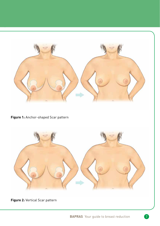

**Figure 1:** Anchor-shaped Scar pattern



**Figure 2:** Vertical Scar pattern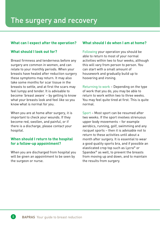#### **What can I expect after the operation?**

#### **What should I look out for?**

Breast firmness and tenderness before any surgery are common in women, and can relate to your monthly periods. When your breasts have healed after reduction surgery these symptoms may return. It may also take some months for scar tissue in the breasts to settle, and at first the scars may feel lumpy and tender. It is advisable to become 'breast aware' – by getting to know what your breasts look and feel like so you know what is normal for you.

When you are at home after surgery, it is important to check your wounds. If they become red, swollen, and painful, or if there is a discharge, please contact your hospital.

#### **When should I return to the hospital for a follow-up appointment?**

When you are discharged from hospital you will be given an appointment to be seen by the surgeon or nurse.

#### **What should I do when I am at home?**

Following your operation you should be able to return to most of your normal activities within two to four weeks, although this will vary from person to person. You can start with a small amount of housework and gradually build up to hoovering and ironing.

Returning to work – Depending on the type of work that you do, you may be able to return to work within two to three weeks. You may feel quite tired at first. This is quite normal.

Sport – Most sport can be resumed after two weeks. If the sport involves strenuous upper body movements – for example aerobics, running, golf, swimming and any racquet sports – then it is advisable not to return to these activities until about a month after surgery. It is essential to wear a good quality sports bra, and if possible an elasticated crop top such as Lycra® or Spandex® as well, to prevent the breasts from moving up and down, and to maintain the results from surgery.

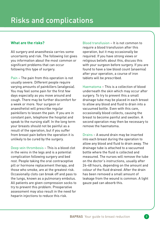#### **What are the risks?**

All surgery and anaesthesia carries some uncertainty and risk. The following list gives you information about the most common or significant problems that can occur following this type of surgery.

Pain – The pain from this operation is not usually severe. Different people require varying amounts of painkillers (analgesia). You may feel some pain for the first few days especially as you move around and cough. There may be further discomfort for a week or more. Your surgeon or anaesthetist will prescribe regular painkillers to lessen the pain. If you are in constant pain, telephone the hospital and speak to the nursing staff. In the long term your breasts should not be painful as a result of the operation, but if you suffer from breast pain before the operation it is unlikely to be cured by the surgery.

Deep vein thrombosis – This is a blood clot in the veins in the legs and is a potential complication following surgery and bed rest. People taking the oral contraceptive pill or hormone replacement therapy, and those who smoke, are at the greatest risk. Occasionally clots can break off and pass to the lungs, known as a pulmonary embolus. All patients are given compression socks to try to prevent this problem. Preoperative assessment may also result in the need for heparin injections to reduce this risk.

Blood transfusion – It is not common to require a blood transfusion after this operation, but it may occasionally be required. If you have strong views or religious beliefs about this, discuss this with your surgeon before surgery. If you are found to have a low blood count (anaemia) after your operation, a course of iron tablets will be prescribed.

Haematoma – This is a collection of blood underneath the skin which may occur after surgery. To try to prevent this a small drainage tube may be placed in each breast to allow any blood and fluid to drain into a vacuumed bottle. Even with this care, occasionally blood collects, causing the breast to become painful and swollen. A second operation may then be necessary to remove the haematoma.

Drains – A wound drain may be inserted into each breast during the operation to allow any blood and fluid to drain away. The drainage tube is attached to a vacuumed bottle where the fluid is collected and measured. The nurses will remove the tube on the doctor's instructions, usually after 24–48 hours, depending on the amount and colour of the fluid drained. After the drain has been removed a small amount of leakage from the wound is common. A light gauze pad can absorb this.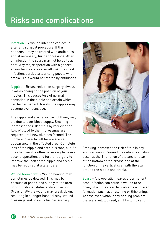Infection – A wound infection can occur after any surgical procedure. If this happens it may be treated with antibiotics and, if necessary, further dressings. After an infection the scars may not be quite as neat. Any major operation with a general anaesthetic carries a small risk of a chest infection, particularly among people who smoke. This would be treated by antibiotics.

Nipples – Breast reduction surgery always involves changing the position of your nipples. This causes loss of normal sensation in the nipple and areola which can be permanent. Rarely, the nipples may become over-sensitive.

The nipple and areola, or part of them, may die due to poor blood supply. Smoking increases the risk of this by reducing the flow of blood to them. Dressings are required until new skin has formed. The nipple and areola will have a scarred appearance in the affected area. Complete loss of the nipple and areola is rare, but if it does happen it is often necessary to have a second operation, and further surgery to improve the look of the nipple and areola may be required at a later date.

Wound breakdown – Wound healing may sometimes be delayed. This may be because of poor blood supply to the area, poor nutritional status and/or infection. Occasionally the wound may break down, resulting in a longer hospital stay, wound dressings and possibly further surgery.



Smoking increases the risk of this in any surgical wound. Wound breakdown can also occur at the T-junction of the anchor scar at the bottom of the breast, and at the junction of the vertical scar with the scar around the nipple and areola.

Scars – Any operation leaves a permanent scar. Infection can cause a wound to reopen, which may lead to problems with scar formation such as stretching or thickening. At first, even without any healing problem, the scars will look red, slightly lumpy and

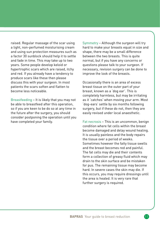raised. Regular massage of the scar using a light, non-perfumed moisturising cream and using sun protection measures such as a factor 30 sunblock should help it to settle and fade in time. This may take up to two years. Some people develop keloid or hypertrophic scars which are raised, itchy and red. If you already have a tendency to produce scars like these then please discuss this with your surgeon. In most patients the scars soften and flatten to become less noticeable.

Breastfeeding – It is likely that you may not be able to breastfeed after this operation, so if you are keen to be do so at any time in the future after the surgery, you should consider postponing the operation until you have completed your family.

Symmetry – Although the surgeon will try hard to make your breasts equal in size and shape, there may be a small difference between the two breasts. This is quite normal, but if you have any concerns or questions please talk to your surgeon. If necessary, revision surgery can be done to improve the look of the breasts.

Occasionally there is an area of excess breast tissue on the outer part of your breast, known as a 'dog ear'. This is completely harmless, but may be irritating as it 'catches' when moving your arm. Most 'dog-ears' settle by six months following surgery, but if these do not, then they are easily revised under local anaesthetic.

Fat necrosis – This is an uncommon, benign condition where fat cells within the breast become damaged and delay wound healing. It is usually painless and the body repairs the tissue over a period of weeks. Sometimes however the fatty tissue swells and the breast becomes red and painful. The fat cells may die and their contents form a collection of greasy fluid which may drain to the skin surface and be mistaken for pus. The remaining tissue may become hard. In severe cases the skin may die. If this occurs, you may require dressings until the area is healed. It is very rare that further surgery is required.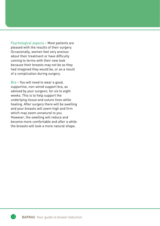Psychological aspects – Most patients are pleased with the results of their surgery. Occasionally, women feel very anxious about their treatment or have difficulty coming to terms with their new look because their breasts may not be as they had imagined they would be, or as a result of a complication during surgery.

Bra – You will need to wear a good, supportive, non-wired support bra, as advised by your surgeon, for six to eight weeks. This is to help support the underlying tissue and suture lines while healing. After surgery there will be swelling and your breasts will seem high and firm which may seem unnatural to you. However, the swelling will reduce and become more comfortable and after a while the breasts will look a more natural shape.

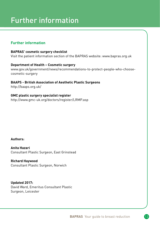## Further information

#### **Further information**

**BAPRAS' cosmetic surgery checklist** Visit the patient information section of the BAPRAS website: www.bapras.org.uk

#### **Department of Health – Cosmetic surgery**

www.gov.uk/government/news/recommendations-to-protect-people-who-choosecosmetic-surgery

**BAAPS - British Association of Aesthetic Plastic Surgeons** http://baaps.org.uk/

**GMC plastic surgery specialist register**  http://www.gmc-uk.org/doctors/register/LRMP.asp

#### **Authors:**

**Anita Hazari** Consultant Plastic Surgeon, East Grinstead

**Richard Haywood** Consultant Plastic Surgeon, Norwich

**Updated 2017:**  David Ward, Emeritus Consultant Plastic Surgeon, Leicester

13